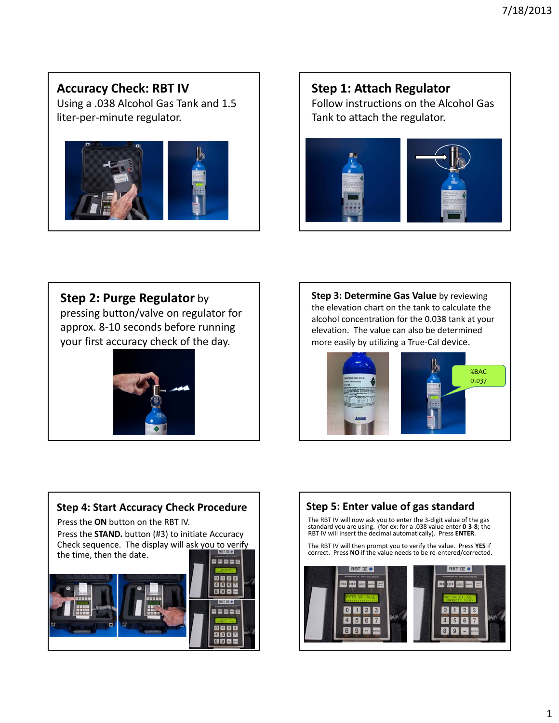## **Accuracy Check: RBT IV**

Using a .038 Alcohol Gas Tank and 1.5 liter‐per‐minute regulator.



# **Step 1: Attach Regulator** Follow instructions on the Alcohol Gas Tank to attach the regulator.



### **Step 2: Purge Regulator** by

pressing button/valve on regulator for approx. 8‐10 seconds before running your first accuracy check of the day.



**Step 3: Determine Gas Value** by reviewing the elevation chart on the tank to calculate the alcohol concentration for the 0.038 tank at your elevation. The value can also be determined more easily by utilizing a True‐Cal device.





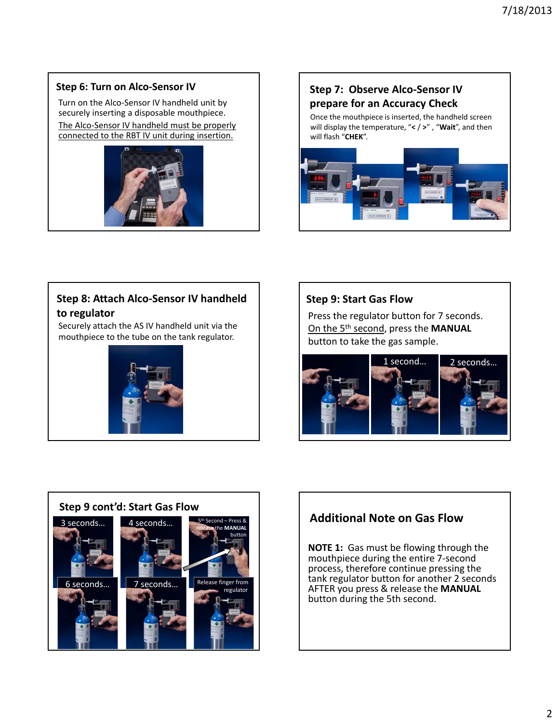#### **Step 6: Turn on Alco‐Sensor IV**

Turn on the Alco‐Sensor IV handheld unit by securely inserting a disposable mouthpiece. The Alco‐Sensor IV handheld must be properly connected to the RBT IV unit during insertion.





Once the mouthpiece is inserted, the handheld screen will display the temperature, "**<** / **>**" , "**Wait**", and then will flash "**CHEK**".



### **Step 8: Attach Alco‐Sensor IV handheld to regulator**

Securely attach the AS IV handheld unit via the mouthpiece to the tube on the tank regulator.



#### **Step 9: Start Gas Flow**

Press the regulator button for 7 seconds. On the 5th second, press the **MANUAL** button to take the gas sample.





## **Additional Note on Gas Flow**

**NOTE 1:** Gas must be flowing through the mouthpiece during the entire 7‐second process, therefore continue pressing the tank regulator button for another 2 seconds AFTER you press & release the **MANUAL** button during the 5th second.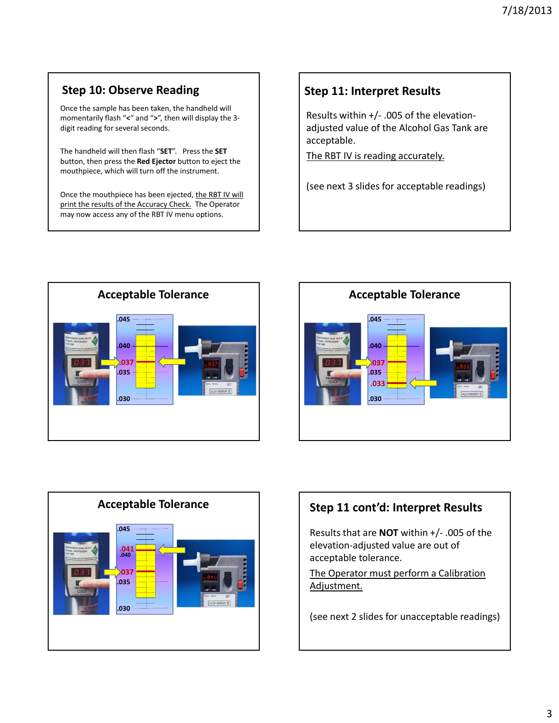## **Step 10: Observe Reading**

Once the sample has been taken, the handheld will momentarily flash "**<**" and "**>**", then will display the 3‐ digit reading for several seconds.

The handheld will then flash "**SET**". Press the **SET** button, then press the **Red Ejector** button to eject the mouthpiece, which will turn off the instrument.

Once the mouthpiece has been ejected, the RBT IV will print the results of the Accuracy Check. The Operator may now access any of the RBT IV menu options.

## **Step 11: Interpret Results**

Results within +/‐ .005 of the elevation‐ adjusted value of the Alcohol Gas Tank are acceptable.

The RBT IV is reading accurately.

(see next 3 slides for acceptable readings)







## **Step 11 cont'd: Interpret Results**

Results that are **NOT** within +/‐ .005 of the elevation‐adjusted value are out of acceptable tolerance.

The Operator must perform a Calibration Adjustment.

(see next 2 slides for unacceptable readings)